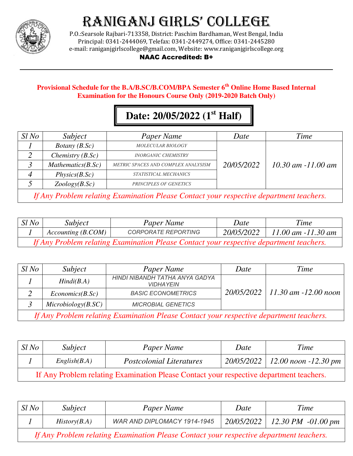

P.O.:Searsole Rajbari-713358, District: Paschim Bardhaman, West Bengal, India Principal: 0341-2444069, Telefax: 0341-2449274, Office: 0341-2445280 e-mail: raniganjgirlscollege@gmail.com, Website: www.raniganjgirlscollege.org

#### NAAC Accredited: B+

### **Provisional Schedule for the B.A/B.SC/B.COM/BPA Semester 6th Online Home Based Internal Examination for the Honours Course Only (2019-2020 Batch Only)**

### **Date: 20/05/2022 (1st Half)**

| $Sl$ No                                                                                 | Subject                | Paper Name                          | Date       | Time                   |
|-----------------------------------------------------------------------------------------|------------------------|-------------------------------------|------------|------------------------|
|                                                                                         | <i>Botany</i> $(B.Sc)$ | <b>MOLECULAR BIOLOGY</b>            |            |                        |
|                                                                                         | Chemistry $(B.Sc)$     | <b>INORGANIC CHEMISTRY</b>          |            |                        |
|                                                                                         | Mathematics(B.Sc)      | METRIC SPACES AND COMPLEX ANALYSISM | 20/05/2022 | $10.30$ am $-11.00$ am |
|                                                                                         | Physics(B.Sc)          | STATISTICAL MECHANICS               |            |                        |
|                                                                                         | Zoology(B.Sc)          | <b>PRINCIPLES OF GENETICS</b>       |            |                        |
| If Any Problem relating Examination Please Contact your respective department teachers. |                        |                                     |            |                        |

| $Sl$ No                                                                                 | Subject            | Paper Name                 | Date       | Time                   |
|-----------------------------------------------------------------------------------------|--------------------|----------------------------|------------|------------------------|
|                                                                                         | Accounting (B.COM) | <b>CORPORATE REPORTING</b> | 20/05/2022 | $11.00$ am $-11.30$ am |
| If Any Problem relating Examination Please Contact your respective department teachers. |                    |                            |            |                        |

| $Sl$ No                                                                                 | Subject             | Paper Name                                         | Date | Time                                |
|-----------------------------------------------------------------------------------------|---------------------|----------------------------------------------------|------|-------------------------------------|
|                                                                                         | Hindi(B.A)          | HINDI NIBANDH TATHA ANYA GADYA<br><b>VIDHAYEIN</b> |      |                                     |
|                                                                                         | Economics(B.Sc)     | <b>BASIC ECONOMETRICS</b>                          |      | $20/05/2022$   11.30 am -12.00 noon |
|                                                                                         | Microbiology(B, SC) | <b>MICROBIAL GENETICS</b>                          |      |                                     |
| If Any Problem relating Examination Please Contact your respective department teachers. |                     |                                                    |      |                                     |

| Sl No                                                                                   | Subject      | Paper Name                      | Date | Time                                |
|-----------------------------------------------------------------------------------------|--------------|---------------------------------|------|-------------------------------------|
|                                                                                         | English(B.A) | <b>Postcolonial Literatures</b> |      | $20/05/2022$   12.00 noon -12.30 pm |
| If Any Problem relating Examination Please Contact your respective department teachers. |              |                                 |      |                                     |

| $Sl$ No                                                                                 | Subject      | Paper Name                  | Date | Time                              |  |
|-----------------------------------------------------------------------------------------|--------------|-----------------------------|------|-----------------------------------|--|
|                                                                                         | History(B.A) | WAR AND DIPLOMACY 1914-1945 |      | $20/05/2022$   12.30 PM -01.00 pm |  |
| If Any Problem relating Examination Please Contact your respective department teachers. |              |                             |      |                                   |  |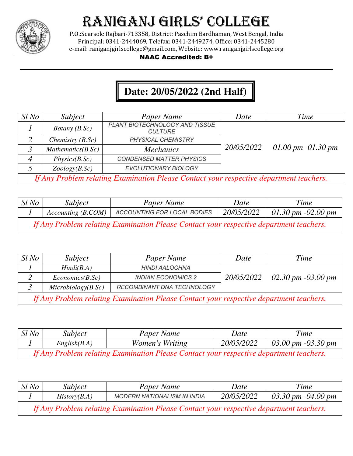

P.O.:Searsole Rajbari-713358, District: Paschim Bardhaman, West Bengal, India Principal: 0341-2444069, Telefax: 0341-2449274, Office: 0341-2445280 e-mail: raniganjgirlscollege@gmail.com, Website: www.raniganjgirlscollege.org

#### NAAC Accredited: B+

### **Date: 20/05/2022 (2nd Half)**

| $Sl$ No                                                                                 | Subject                | Paper Name                                       | Date       | Time                 |
|-----------------------------------------------------------------------------------------|------------------------|--------------------------------------------------|------------|----------------------|
|                                                                                         | <i>Botany</i> $(B.Sc)$ | PLANT BIOTECHNOLOGY AND TISSUE<br><b>CULTURE</b> |            |                      |
|                                                                                         | Chemistry $(B.Sc)$     | PHYSICAL CHEMISTRY                               |            |                      |
|                                                                                         | Mathematics(B.Sc)      | <b>Mechanics</b>                                 | 20/05/2022 | 01.00 pm $-01.30$ pm |
|                                                                                         | Physics(B.Sc)          | <b>CONDENSED MATTER PHYSICS</b>                  |            |                      |
|                                                                                         | Zoology(B.Sc)          | EVOLUTIONARY BIOLOGY                             |            |                      |
| If Any Problem relating Examination Please Contact your respective department teachers. |                        |                                                  |            |                      |

| $SI$ No                                                                                 | Subject            | Paper Name                         | Date       | Time                                    |
|-----------------------------------------------------------------------------------------|--------------------|------------------------------------|------------|-----------------------------------------|
|                                                                                         | Accounting (B.COM) | <b>ACCOUNTING FOR LOCAL BODIES</b> | 20/05/2022 | $01.30 \, \text{pm}$ -02.00 $\text{pm}$ |
| If Any Problem relating Examination Please Contact your respective department teachers. |                    |                                    |            |                                         |

| Sl No                                                                                   | Subject             | Paper Name                 | Date       | Time                 |
|-----------------------------------------------------------------------------------------|---------------------|----------------------------|------------|----------------------|
|                                                                                         | Hindi(B.A)          | <b>HINDI AALOCHNA</b>      |            |                      |
|                                                                                         | Economics(B,Sc)     | <b>INDIAN ECONOMICS 2</b>  | 20/05/2022 | 02.30 pm $-03.00$ pm |
|                                                                                         | Microbiology(B, Sc) | RECOMBINANT DNA TECHNOLOGY |            |                      |
| If Any Problem relating Examination Please Contact your respective department teachers. |                     |                            |            |                      |

| $Sl$ No                                                                                 | <i>Subject</i> | Paper Name             | Date       | Time               |
|-----------------------------------------------------------------------------------------|----------------|------------------------|------------|--------------------|
|                                                                                         | English(B.A)   | <i>Women's Writing</i> | 20/05/2022 | 03.00 pm -03.30 pm |
| If Any Problem relating Examination Please Contact your respective department teachers. |                |                        |            |                    |

| $Sl$ No                                                                                 | Subject      | Paper Name                         | Date       | Time               |
|-----------------------------------------------------------------------------------------|--------------|------------------------------------|------------|--------------------|
|                                                                                         | History(B.A) | <b>MODERN NATIONALISM IN INDIA</b> | 20/05/2022 | 03.30 pm -04.00 pm |
| If Any Problem relating Examination Please Contact your respective department teachers. |              |                                    |            |                    |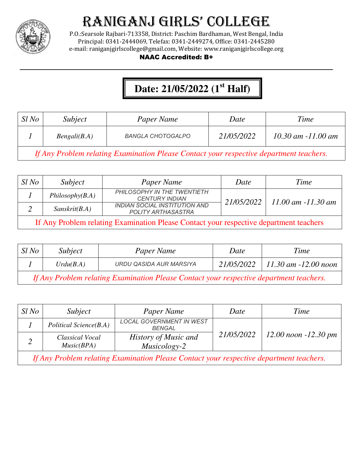

P.O.:Searsole Rajbari-713358, District: Paschim Bardhaman, West Bengal, India Principal: 0341-2444069, Telefax: 0341-2449274, Office: 0341-2445280 e-mail: raniganjgirlscollege@gmail.com, Website: www.raniganjgirlscollege.org

### NAAC Accredited: B+

### **Date: 21/05/2022 (1st Half)**

| $Sl$ No                                                                                 | Subject      | Paper Name               | Date       | Time                   |
|-----------------------------------------------------------------------------------------|--------------|--------------------------|------------|------------------------|
|                                                                                         | Bengali(B.A) | <b>BANGLA CHOTOGALPO</b> | 21/05/2022 | $10.30$ am $-11.00$ am |
| If Any Problem relating Examination Please Contact your respective department teachers. |              |                          |            |                        |

| $Sl$ No                                                                                | Subject         | Paper Name                                                        | Date       | Time                   |
|----------------------------------------------------------------------------------------|-----------------|-------------------------------------------------------------------|------------|------------------------|
|                                                                                        | Philosophy(B.A) | PHILOSOPHY IN THE TWENTIETH<br><b>CENTURY INDIAN</b>              |            |                        |
|                                                                                        | Sanskrit(B.A)   | <b>INDIAN SOCIAL INSTITUTION AND</b><br><b>POLITY ARTHASASTRA</b> | 21/05/2022 | $11.00$ am $-11.30$ am |
| If Any Problem relating Examination Please Contact your respective department teachers |                 |                                                                   |            |                        |

| $Sl$ No                                                                                 | Subject   | Paper Name              | Date       | Time                     |  |
|-----------------------------------------------------------------------------------------|-----------|-------------------------|------------|--------------------------|--|
|                                                                                         | Urdu(B.A) | URDU QASIDA AUR MARSIYA | 21/05/2022 | $11.30$ am $-12.00$ noon |  |
| If Any Problem relating Examination Please Contact your respective department teachers. |           |                         |            |                          |  |

| Sl No                                                                                   | Subject                       | Paper Name                                       | Date       | Time                     |
|-----------------------------------------------------------------------------------------|-------------------------------|--------------------------------------------------|------------|--------------------------|
|                                                                                         | Political Science(B.A)        | <b>LOCAL GOVERNMENT IN WEST</b><br><b>BENGAL</b> |            |                          |
|                                                                                         | Classical Vocal<br>Music(BPA) | History of Music and<br>Musicology-2             | 21/05/2022 | $12.00$ noon $-12.30$ pm |
| If Any Problem relating Examination Please Contact your respective department teachers. |                               |                                                  |            |                          |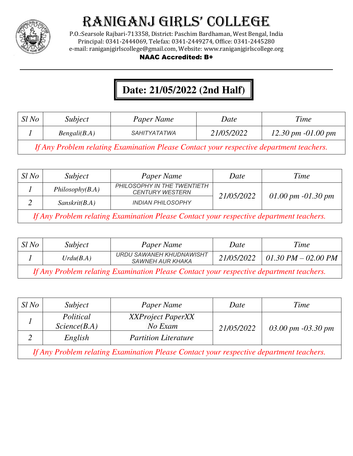

P.O.:Searsole Rajbari-713358, District: Paschim Bardhaman, West Bengal, India Principal: 0341-2444069, Telefax: 0341-2449274, Office: 0341-2445280 e-mail: raniganjgirlscollege@gmail.com, Website: www.raniganjgirlscollege.org

### NAAC Accredited: B+

### **Date: 21/05/2022 (2nd Half)**

| $Sl$ No | Subject      | Paper Name          | Date       | Time                                    |
|---------|--------------|---------------------|------------|-----------------------------------------|
|         | Bengali(B.A) | <i>SAHITYATATWA</i> | 21/05/2022 | $12.30 \, \text{pm}$ -01.00 $\text{pm}$ |

*If Any Problem relating Examination Please Contact your respective department teachers.*

| $Sl$ No                                                                                 | Subject         | Paper Name                                            | Date       | Time                 |
|-----------------------------------------------------------------------------------------|-----------------|-------------------------------------------------------|------------|----------------------|
|                                                                                         | Philosophy(B.A) | PHILOSOPHY IN THE TWENTIETH<br><b>CENTURY WESTERN</b> | 21/05/2022 |                      |
|                                                                                         | Sanskrit(B.A)   | <b>INDIAN PHILOSOPHY</b>                              |            | 01.00 pm $-01.30$ pm |
| If Any Problem relating Examination Please Contact your respective department teachers. |                 |                                                       |            |                      |

| $Sl$ No                                                                                 | Subject   | Paper Name                                          | Date       | Time                  |
|-----------------------------------------------------------------------------------------|-----------|-----------------------------------------------------|------------|-----------------------|
|                                                                                         | Urdu(B.A) | URDU SAWANEH KHUDNAWISHT<br><b>SAWNEH AUR KHAKA</b> | 21/05/2022 | 01.30 PM $-$ 02.00 PM |
| If Any Problem relating Examination Please Contact your respective department teachers. |           |                                                     |            |                       |

| Sl No                                                                                   | Subject                   | Paper Name                          | Date       | Time                 |
|-----------------------------------------------------------------------------------------|---------------------------|-------------------------------------|------------|----------------------|
|                                                                                         | Political<br>Science(B.A) | <b>XXProject PaperXX</b><br>No Exam | 21/05/2022 | 03.00 pm $-03.30$ pm |
|                                                                                         | English                   | <b>Partition Literature</b>         |            |                      |
| If Any Problem relating Examination Please Contact your respective department teachers. |                           |                                     |            |                      |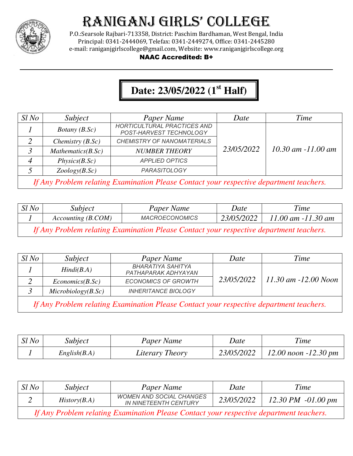

P.O.:Searsole Rajbari-713358, District: Paschim Bardhaman, West Bengal, India Principal: 0341-2444069, Telefax: 0341-2449274, Office: 0341-2445280 e-mail: raniganjgirlscollege@gmail.com, Website: www.raniganjgirlscollege.org

#### NAAC Accredited: B+

### **Date: 23/05/2022 (1st Half)**

| $Sl$ No | Subject                                                                                 | Paper Name                                                    | Date       | Time                   |  |
|---------|-----------------------------------------------------------------------------------------|---------------------------------------------------------------|------------|------------------------|--|
|         | Botany $(B.Sc)$                                                                         | <b>HORTICULTURAL PRACTICES AND</b><br>POST-HARVEST TECHNOLOGY |            |                        |  |
|         | Chemistry $(B.Sc)$                                                                      | <b>CHEMISTRY OF NANOMATERIALS</b>                             |            |                        |  |
|         | Mathematics(B.Sc)                                                                       | <b>NUMBER THEORY</b>                                          | 23/05/2022 | $10.30$ am $-11.00$ am |  |
| 4       | Physics(B.Sc)                                                                           | <b>APPLIED OPTICS</b>                                         |            |                        |  |
|         | Zoology(B.Sc)                                                                           | <b>PARASITOLOGY</b>                                           |            |                        |  |
|         | If Any Problem relating Examination Please Contact your respective department teachers. |                                                               |            |                        |  |

| Sl No                                                                                   | Subject            | Paper Name            | Date       | Time               |  |
|-----------------------------------------------------------------------------------------|--------------------|-----------------------|------------|--------------------|--|
|                                                                                         | Accounting (B.COM) | <b>MACROECONOMICS</b> | 23/05/2022 | 11.00 am -11.30 am |  |
| If Any Problem relating Examination Please Contact your respective department teachers. |                    |                       |            |                    |  |

| $Sl$ No                                                                                 | Subject            | Paper Name                                      | Date       | Time                 |
|-----------------------------------------------------------------------------------------|--------------------|-------------------------------------------------|------------|----------------------|
|                                                                                         | Hindi(B.A)         | <b>BHARATIYA SAHITYA</b><br>PATHAPARAK ADHYAYAN |            |                      |
|                                                                                         | Economics(B.Sc)    | <b>ECONOMICS OF GROWTH</b>                      | 23/05/2022 | 11.30 am -12.00 Noon |
|                                                                                         | Microbiology(B.Sc) | <b>INHERITANCE BIOLOGY</b>                      |            |                      |
| If Any Problem relating Examination Please Contact your respective department teachers. |                    |                                                 |            |                      |

| Sl No | <i>Subject</i> | Paper Name      | Date       | <b>Time</b>              |
|-------|----------------|-----------------|------------|--------------------------|
|       | English(B.A)   | Literary Theory | 23/05/2022 | $12.00$ noon $-12.30$ pm |

| $Sl$ No                                                                                 | Subject      | Paper Name                                                      | Date       | Time                 |
|-----------------------------------------------------------------------------------------|--------------|-----------------------------------------------------------------|------------|----------------------|
|                                                                                         | History(B.A) | <b>WOMEN AND SOCIAL CHANGES</b><br><b>IN NINETEENTH CENTURY</b> | 23/05/2022 | 12.30 PM $-01.00$ pm |
| If Any Problem relating Examination Please Contact your respective department teachers. |              |                                                                 |            |                      |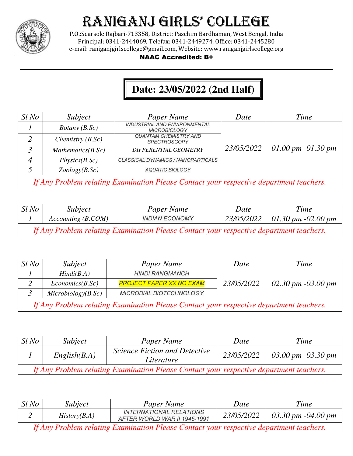

P.O.:Searsole Rajbari-713358, District: Paschim Bardhaman, West Bengal, India Principal: 0341-2444069, Telefax: 0341-2449274, Office: 0341-2445280 e-mail: raniganjgirlscollege@gmail.com, Website: www.raniganjgirlscollege.org

### NAAC Accredited: B+

### **Date: 23/05/2022 (2nd Half)**

 $\parallel$ 

| $Sl$ No | Subject                                                                                 | Paper Name                                                 | Date       | Time                 |  |
|---------|-----------------------------------------------------------------------------------------|------------------------------------------------------------|------------|----------------------|--|
|         | <i>Botany</i> $(B.Sc)$                                                                  | <b>INDUSTRIAL AND ENVIRONMENTAL</b><br><b>MICROBIOLOGY</b> |            |                      |  |
|         | Chemistry $(B.Sc)$                                                                      | <b>QUANTAM CHEMISTRY AND</b><br><b>SPECTROSCOPY</b>        |            |                      |  |
|         | Mathematics(B.Sc)                                                                       | <b>DIFFERENTIAL GEOMETRY</b>                               | 23/05/2022 | 01.00 pm $-01.30$ pm |  |
|         | Physics(B.Sc)                                                                           | CLASSICAL DYNAMICS / NANOPARTICALS                         |            |                      |  |
|         | Zoology(B.Sc)                                                                           | <b>AQUATIC BIOLOGY</b>                                     |            |                      |  |
|         | If Any Problem relating Examination Please Contact your respective department teachers. |                                                            |            |                      |  |

| $Sl$ No                                                                                 | Subject            | Paper Name            | Date | Time                            |  |
|-----------------------------------------------------------------------------------------|--------------------|-----------------------|------|---------------------------------|--|
|                                                                                         | Accounting (B.COM) | <b>INDIAN ECONOMY</b> |      | 23/05/2022   01.30 pm -02.00 pm |  |
| If Any Problem relating Examination Please Contact your respective department teachers. |                    |                       |      |                                 |  |

| Sl No                                                                                   | Subject             | Paper Name                      | Date       | Time                 |
|-----------------------------------------------------------------------------------------|---------------------|---------------------------------|------------|----------------------|
|                                                                                         | Hindi(B.A)          | <b>HINDI RANGMANCH</b>          |            |                      |
|                                                                                         | Economics(B.Sc)     | <b>PROJECT PAPER XX NO EXAM</b> | 23/05/2022 | 02.30 pm $-03.00$ pm |
|                                                                                         | Microbiology(B, Sc) | <b>MICROBIAL BIOTECHNOLOGY</b>  |            |                      |
| If Any Problem relating Examination Please Contact your respective department teachers. |                     |                                 |            |                      |

| $Sl$ No                                                                                 | Subject      | Paper Name                                         | Date       | Time               |  |
|-----------------------------------------------------------------------------------------|--------------|----------------------------------------------------|------------|--------------------|--|
|                                                                                         | English(B.A) | <i>Science Fiction and Detective</i><br>Literature | 23/05/2022 | 03.00 pm -03.30 pm |  |
| If Any Problem relating Examination Please Contact your respective department teachers. |              |                                                    |            |                    |  |

| $Sl$ No                                                                                 | Subject      | Paper Name                                                     | Date       | Time                 |  |
|-----------------------------------------------------------------------------------------|--------------|----------------------------------------------------------------|------------|----------------------|--|
|                                                                                         | History(B.A) | <b>INTERNATIONAL RELATIONS</b><br>AFTER WORLD WAR II 1945-1991 | 23/05/2022 | 03.30 pm $-04.00$ pm |  |
| If Any Problem relating Examination Please Contact your respective department teachers. |              |                                                                |            |                      |  |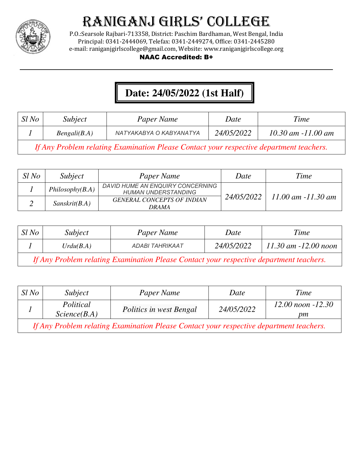

P.O.:Searsole Rajbari-713358, District: Paschim Bardhaman, West Bengal, India Principal: 0341-2444069, Telefax: 0341-2449274, Office: 0341-2445280 e-mail: raniganjgirlscollege@gmail.com, Website: www.raniganjgirlscollege.org

#### NAAC Accredited: B+

## **Date: 24/05/2022 (1st Half)**

| Sl No | <i>Subject</i> | Paper Name              | Date       | <b>Time</b>            |
|-------|----------------|-------------------------|------------|------------------------|
|       | Bengali(B.A)   | NATYAKABYA O KABYANATYA | 24/05/2022 | $10.30$ am $-11.00$ am |

*If Any Problem relating Examination Please Contact your respective department teachers.*

| Sl No | Subject         | Paper Name                                                     | Date       | Time                   |
|-------|-----------------|----------------------------------------------------------------|------------|------------------------|
|       | Philosophy(B.A) | DAVID HUME AN ENQUIRY CONCERNING<br><b>HUMAN UNDERSTANDING</b> |            |                        |
|       | Sanskrit(B.A)   | <b>GENERAL CONCEPTS OF INDIAN</b><br><i><b>DRAMA</b></i>       | 24/05/2022 | $11.00$ am $-11.30$ am |

| Sl No | Subject   | Paper Name      | Date       | Time                     |  |
|-------|-----------|-----------------|------------|--------------------------|--|
|       | Urdu(B.A) | ADABI TAHRIKAAT | 24/05/2022 | $11.30$ am $-12.00$ noon |  |
|       | ___       |                 |            |                          |  |

*If Any Problem relating Examination Please Contact your respective department teachers.*

| $Sl$ No                                                                                 | Subject                   | Paper Name              | Date       | Time                        |  |
|-----------------------------------------------------------------------------------------|---------------------------|-------------------------|------------|-----------------------------|--|
|                                                                                         | Political<br>Science(B.A) | Politics in west Bengal | 24/05/2022 | $12.00$ noon $-12.30$<br>pm |  |
| If Any Problem relating Examination Please Contact your respective department teachers. |                           |                         |            |                             |  |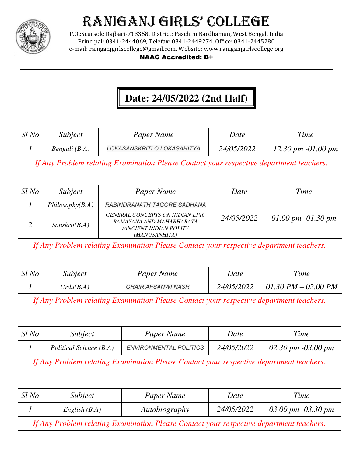

P.O.:Searsole Rajbari-713358, District: Paschim Bardhaman, West Bengal, India Principal: 0341-2444069, Telefax: 0341-2449274, Office: 0341-2445280 e-mail: raniganjgirlscollege@gmail.com, Website: www.raniganjgirlscollege.org

#### NAAC Accredited: B+

### **Date: 24/05/2022 (2nd Half)**

| Sl No      | Subject       | Paper Name                  | Date       | Time                           |
|------------|---------------|-----------------------------|------------|--------------------------------|
|            | Bengali (B.A) | LOKASANSKRITI O LOKASAHITYA | 24/05/2022 | $12.30 \, \text{pm}$ -01.00 pm |
| $\sqrt{ }$ |               |                             |            |                                |

*If Any Problem relating Examination Please Contact your respective department teachers.*

| $Sl$ No                                                                                                      | Subject         | Paper Name                                                                                                           | Date       | Time                 |
|--------------------------------------------------------------------------------------------------------------|-----------------|----------------------------------------------------------------------------------------------------------------------|------------|----------------------|
|                                                                                                              | Philosophy(B.A) | RABINDRANATH TAGORE SADHANA                                                                                          |            |                      |
|                                                                                                              | Sanskrit(B.A)   | <b>GENERAL CONCEPTS ON INDIAN EPIC</b><br>RAMAYANA AND MAHABHARATA<br><b>/ANCIENT INDIAN POLITY</b><br>(MANUSANHITA) | 24/05/2022 | 01.00 pm $-01.30$ pm |
| If $A_{\text{new}}$ , Duald an und ating From in ating Dome Contract were now a stire. Journals and together |                 |                                                                                                                      |            |                      |

*If Any Problem relating Examination Please Contact your respective department teachers.*

| Sl No                                                                                   | Subject   | Paper Name                | Date              | Time                |
|-----------------------------------------------------------------------------------------|-----------|---------------------------|-------------------|---------------------|
|                                                                                         | Urdu(B.A) | <b>GHAIR AFSANWI NASR</b> | <i>24/05/2022</i> | 01.30 PM – 02.00 PM |
| If Any Problem relating Examination Please Contact your respective department teachers. |           |                           |                   |                     |

| $Sl$ No                                                                                 | Subject                 | Paper Name                    | Date       | Time                 |  |
|-----------------------------------------------------------------------------------------|-------------------------|-------------------------------|------------|----------------------|--|
|                                                                                         | Political Science (B.A) | <b>ENVIRONMENTAL POLITICS</b> | 24/05/2022 | 02.30 pm $-03.00$ pm |  |
| If Any Problem relating Examination Please Contact your respective department teachers. |                         |                               |            |                      |  |

| $Sl$ No                                                                                 | <i>Subject</i>  | Paper Name    | Date       | Time               |
|-----------------------------------------------------------------------------------------|-----------------|---------------|------------|--------------------|
|                                                                                         | English $(B.A)$ | Autobiography | 24/05/2022 | 03.00 pm -03.30 pm |
| If Any Problem relating Examination Please Contact your respective department teachers. |                 |               |            |                    |